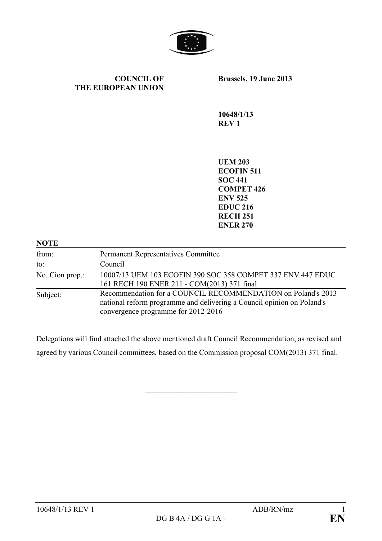

#### **COUNCIL OF THE EUROPEAN UNION**

**Brussels, 19 June 2013**

**10648/1/13 REV 1**

**UEM 203 ECOFIN 511 SOC 441 COMPET 426 ENV 525 EDUC 216 RECH 251 ENER 270**

| <b>NOTE</b>     |                                                                                                                                                                               |
|-----------------|-------------------------------------------------------------------------------------------------------------------------------------------------------------------------------|
| from:           | <b>Permanent Representatives Committee</b>                                                                                                                                    |
| to:             | Council                                                                                                                                                                       |
| No. Cion prop.: | 10007/13 UEM 103 ECOFIN 390 SOC 358 COMPET 337 ENV 447 EDUC<br>161 RECH 190 ENER 211 - COM(2013) 371 final                                                                    |
| Subject:        | Recommendation for a COUNCIL RECOMMENDATION on Poland's 2013<br>national reform programme and delivering a Council opinion on Poland's<br>convergence programme for 2012-2016 |

Delegations will find attached the above mentioned draft Council Recommendation, as revised and agreed by various Council committees, based on the Commission proposal COM(2013) 371 final.

 $\overline{\phantom{a}}$  , which is a set of the set of the set of the set of the set of the set of the set of the set of the set of the set of the set of the set of the set of the set of the set of the set of the set of the set of th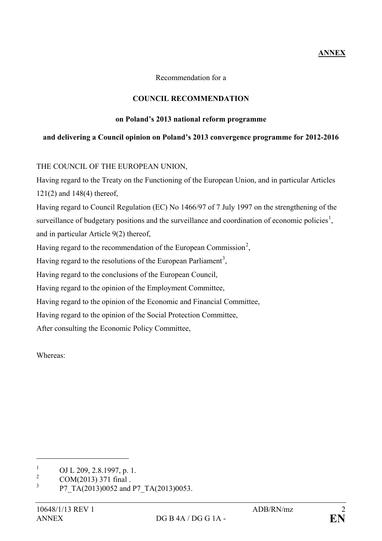# **ANNEX**

Recommendation for a

## **COUNCIL RECOMMENDATION**

### **on Poland's 2013 national reform programme**

## **and delivering a Council opinion on Poland's 2013 convergence programme for 2012-2016**

## THE COUNCIL OF THE EUROPEAN UNION,

Having regard to the Treaty on the Functioning of the European Union, and in particular Articles 121(2) and 148(4) thereof,

Having regard to Council Regulation (EC) No 1466/97 of 7 July 1997 on the strengthening of the surveillance of budgetary positions and the surveillance and coordination of economic policies<sup>[1](#page-1-0)</sup>, and in particular Article 9(2) thereof,

Having regard to the recommendation of the European Commission<sup>[2](#page-1-1)</sup>,

Having regard to the resolutions of the European Parliament<sup>[3](#page-1-2)</sup>,

Having regard to the conclusions of the European Council,

Having regard to the opinion of the Employment Committee,

Having regard to the opinion of the Economic and Financial Committee,

Having regard to the opinion of the Social Protection Committee,

After consulting the Economic Policy Committee,

Whereas:

 $\overline{a}$ 

<span id="page-1-0"></span> $\frac{1}{2}$  OJ L 209, 2.8.1997, p. 1.

<span id="page-1-1"></span> $2^2$  COM(2013) 371 final .

<span id="page-1-2"></span><sup>3</sup> P7\_TA(2013)0052 and P7\_TA(2013)0053.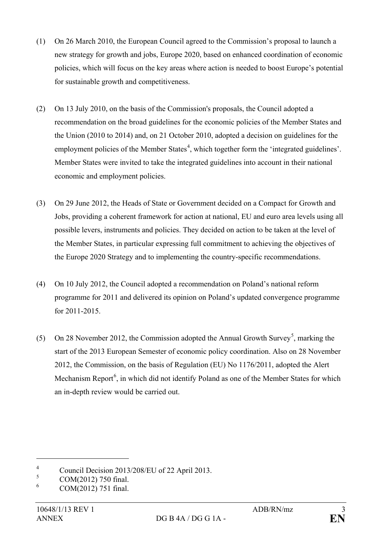- (1) On 26 March 2010, the European Council agreed to the Commission's proposal to launch a new strategy for growth and jobs, Europe 2020, based on enhanced coordination of economic policies, which will focus on the key areas where action is needed to boost Europe's potential for sustainable growth and competitiveness.
- (2) On 13 July 2010, on the basis of the Commission's proposals, the Council adopted a recommendation on the broad guidelines for the economic policies of the Member States and the Union (2010 to 2014) and, on 21 October 2010, adopted a decision on guidelines for the employment policies of the Member States<sup>[4](#page-2-0)</sup>, which together form the 'integrated guidelines'. Member States were invited to take the integrated guidelines into account in their national economic and employment policies.
- (3) On 29 June 2012, the Heads of State or Government decided on a Compact for Growth and Jobs, providing a coherent framework for action at national, EU and euro area levels using all possible levers, instruments and policies. They decided on action to be taken at the level of the Member States, in particular expressing full commitment to achieving the objectives of the Europe 2020 Strategy and to implementing the country-specific recommendations.
- (4) On 10 July 2012, the Council adopted a recommendation on Poland's national reform programme for 2011 and delivered its opinion on Poland's updated convergence programme for 2011-2015.
- ([5](#page-2-1)) On 28 November 2012, the Commission adopted the Annual Growth Survey<sup>5</sup>, marking the start of the 2013 European Semester of economic policy coordination. Also on 28 November 2012, the Commission, on the basis of Regulation (EU) No 1176/2011, adopted the Alert Mechanism Report<sup>[6](#page-2-2)</sup>, in which did not identify Poland as one of the Member States for which an in-depth review would be carried out.

 $\overline{a}$ 

<span id="page-2-0"></span><sup>&</sup>lt;sup>4</sup> Council Decision 2013/208/EU of 22 April 2013.

<span id="page-2-1"></span> $\frac{5}{6}$  COM(2012) 750 final.

<span id="page-2-2"></span><sup>6</sup> COM(2012) 751 final.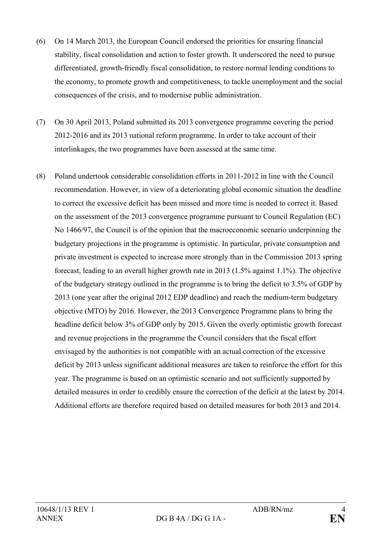- (6) On 14 March 2013, the European Council endorsed the priorities for ensuring financial stability, fiscal consolidation and action to foster growth. It underscored the need to pursue differentiated, growth-friendly fiscal consolidation, to restore normal lending conditions to the economy, to promote growth and competitiveness, to tackle unemployment and the social consequences of the crisis, and to modernise public administration.
- (7) On 30 April 2013, Poland submitted its 2013 convergence programme covering the period 2012-2016 and its 2013 national reform programme. In order to take account of their interlinkages, the two programmes have been assessed at the same time.
- (8) Poland undertook considerable consolidation efforts in 2011-2012 in line with the Council recommendation. However, in view of a deteriorating global economic situation the deadline to correct the excessive deficit has been missed and more time is needed to correct it. Based on the assessment of the 2013 convergence programme pursuant to Council Regulation (EC) No 1466/97, the Council is of the opinion that the macroeconomic scenario underpinning the budgetary projections in the programme is optimistic. In particular, private consumption and private investment is expected to increase more strongly than in the Commission 2013 spring forecast, leading to an overall higher growth rate in 2013 (1.5% against 1.1%). The objective of the budgetary strategy outlined in the programme is to bring the deficit to 3.5% of GDP by 2013 (one year after the original 2012 EDP deadline) and reach the medium-term budgetary objective (MTO) by 2016. However, the 2013 Convergence Programme plans to bring the headline deficit below 3% of GDP only by 2015. Given the overly optimistic growth forecast and revenue projections in the programme the Council considers that the fiscal effort envisaged by the authorities is not compatible with an actual correction of the excessive deficit by 2013 unless significant additional measures are taken to reinforce the effort for this year. The programme is based on an optimistic scenario and not sufficiently supported by detailed measures in order to credibly ensure the correction of the deficit at the latest by 2014. Additional efforts are therefore required based on detailed measures for both 2013 and 2014.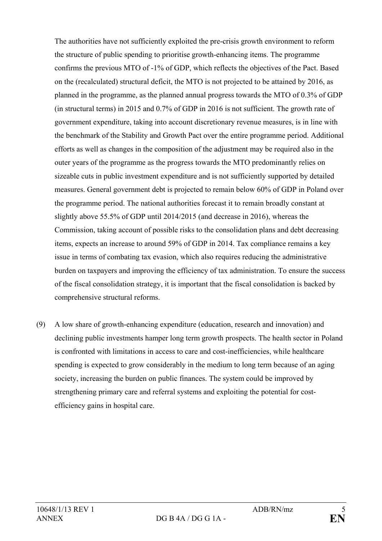The authorities have not sufficiently exploited the pre-crisis growth environment to reform the structure of public spending to prioritise growth-enhancing items. The programme confirms the previous MTO of -1% of GDP, which reflects the objectives of the Pact. Based on the (recalculated) structural deficit, the MTO is not projected to be attained by 2016, as planned in the programme, as the planned annual progress towards the MTO of 0.3% of GDP (in structural terms) in 2015 and 0.7% of GDP in 2016 is not sufficient. The growth rate of government expenditure, taking into account discretionary revenue measures, is in line with the benchmark of the Stability and Growth Pact over the entire programme period. Additional efforts as well as changes in the composition of the adjustment may be required also in the outer years of the programme as the progress towards the MTO predominantly relies on sizeable cuts in public investment expenditure and is not sufficiently supported by detailed measures. General government debt is projected to remain below 60% of GDP in Poland over the programme period. The national authorities forecast it to remain broadly constant at slightly above 55.5% of GDP until 2014/2015 (and decrease in 2016), whereas the Commission, taking account of possible risks to the consolidation plans and debt decreasing items, expects an increase to around 59% of GDP in 2014. Tax compliance remains a key issue in terms of combating tax evasion, which also requires reducing the administrative burden on taxpayers and improving the efficiency of tax administration. To ensure the success of the fiscal consolidation strategy, it is important that the fiscal consolidation is backed by comprehensive structural reforms.

(9) A low share of growth-enhancing expenditure (education, research and innovation) and declining public investments hamper long term growth prospects. The health sector in Poland is confronted with limitations in access to care and cost-inefficiencies, while healthcare spending is expected to grow considerably in the medium to long term because of an aging society, increasing the burden on public finances. The system could be improved by strengthening primary care and referral systems and exploiting the potential for costefficiency gains in hospital care.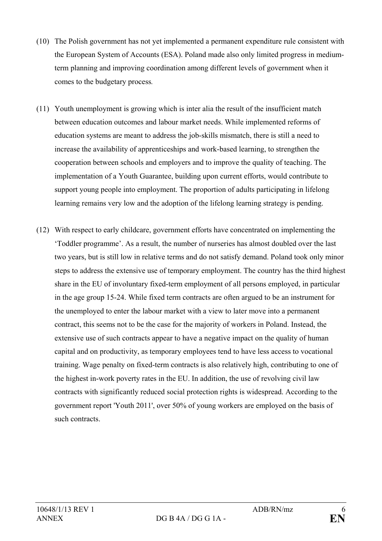- (10) The Polish government has not yet implemented a permanent expenditure rule consistent with the European System of Accounts (ESA). Poland made also only limited progress in mediumterm planning and improving coordination among different levels of government when it comes to the budgetary process*.*
- (11) Youth unemployment is growing which is inter alia the result of the insufficient match between education outcomes and labour market needs. While implemented reforms of education systems are meant to address the job-skills mismatch, there is still a need to increase the availability of apprenticeships and work-based learning, to strengthen the cooperation between schools and employers and to improve the quality of teaching. The implementation of a Youth Guarantee, building upon current efforts, would contribute to support young people into employment. The proportion of adults participating in lifelong learning remains very low and the adoption of the lifelong learning strategy is pending.
- (12) With respect to early childcare, government efforts have concentrated on implementing the 'Toddler programme'. As a result, the number of nurseries has almost doubled over the last two years, but is still low in relative terms and do not satisfy demand. Poland took only minor steps to address the extensive use of temporary employment. The country has the third highest share in the EU of involuntary fixed-term employment of all persons employed, in particular in the age group 15-24. While fixed term contracts are often argued to be an instrument for the unemployed to enter the labour market with a view to later move into a permanent contract, this seems not to be the case for the majority of workers in Poland. Instead, the extensive use of such contracts appear to have a negative impact on the quality of human capital and on productivity, as temporary employees tend to have less access to vocational training. Wage penalty on fixed-term contracts is also relatively high, contributing to one of the highest in-work poverty rates in the EU. In addition, the use of revolving civil law contracts with significantly reduced social protection rights is widespread. According to the government report 'Youth 2011', over 50% of young workers are employed on the basis of such contracts.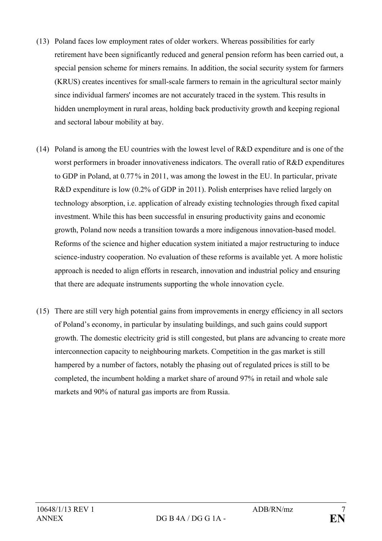- (13) Poland faces low employment rates of older workers. Whereas possibilities for early retirement have been significantly reduced and general pension reform has been carried out, a special pension scheme for miners remains. In addition, the social security system for farmers (KRUS) creates incentives for small-scale farmers to remain in the agricultural sector mainly since individual farmers' incomes are not accurately traced in the system. This results in hidden unemployment in rural areas, holding back productivity growth and keeping regional and sectoral labour mobility at bay.
- (14) Poland is among the EU countries with the lowest level of R&D expenditure and is one of the worst performers in broader innovativeness indicators. The overall ratio of R&D expenditures to GDP in Poland, at 0.77% in 2011, was among the lowest in the EU. In particular, private R&D expenditure is low (0.2% of GDP in 2011). Polish enterprises have relied largely on technology absorption, i.e. application of already existing technologies through fixed capital investment. While this has been successful in ensuring productivity gains and economic growth, Poland now needs a transition towards a more indigenous innovation-based model. Reforms of the science and higher education system initiated a major restructuring to induce science-industry cooperation. No evaluation of these reforms is available yet. A more holistic approach is needed to align efforts in research, innovation and industrial policy and ensuring that there are adequate instruments supporting the whole innovation cycle.
- (15) There are still very high potential gains from improvements in energy efficiency in all sectors of Poland's economy, in particular by insulating buildings, and such gains could support growth. The domestic electricity grid is still congested, but plans are advancing to create more interconnection capacity to neighbouring markets. Competition in the gas market is still hampered by a number of factors, notably the phasing out of regulated prices is still to be completed, the incumbent holding a market share of around 97% in retail and whole sale markets and 90% of natural gas imports are from Russia.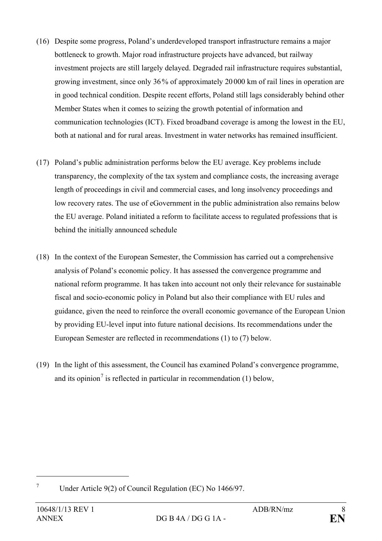- (16) Despite some progress, Poland's underdeveloped transport infrastructure remains a major bottleneck to growth. Major road infrastructure projects have advanced, but railway investment projects are still largely delayed. Degraded rail infrastructure requires substantial, growing investment, since only 36% of approximately 20 000 km of rail lines in operation are in good technical condition. Despite recent efforts, Poland still lags considerably behind other Member States when it comes to seizing the growth potential of information and communication technologies (ICT). Fixed broadband coverage is among the lowest in the EU, both at national and for rural areas. Investment in water networks has remained insufficient.
- (17) Poland's public administration performs below the EU average. Key problems include transparency, the complexity of the tax system and compliance costs, the increasing average length of proceedings in civil and commercial cases, and long insolvency proceedings and low recovery rates. The use of eGovernment in the public administration also remains below the EU average. Poland initiated a reform to facilitate access to regulated professions that is behind the initially announced schedule
- (18) In the context of the European Semester, the Commission has carried out a comprehensive analysis of Poland's economic policy. It has assessed the convergence programme and national reform programme. It has taken into account not only their relevance for sustainable fiscal and socio-economic policy in Poland but also their compliance with EU rules and guidance, given the need to reinforce the overall economic governance of the European Union by providing EU-level input into future national decisions. Its recommendations under the European Semester are reflected in recommendations (1) to (7) below.
- (19) In the light of this assessment, the Council has examined Poland's convergence programme, and its opinion<sup>[7](#page-7-0)</sup> is reflected in particular in recommendation  $(1)$  below,

 $\overline{a}$ 

<span id="page-7-0"></span><sup>7</sup> Under Article 9(2) of Council Regulation (EC) No 1466/97.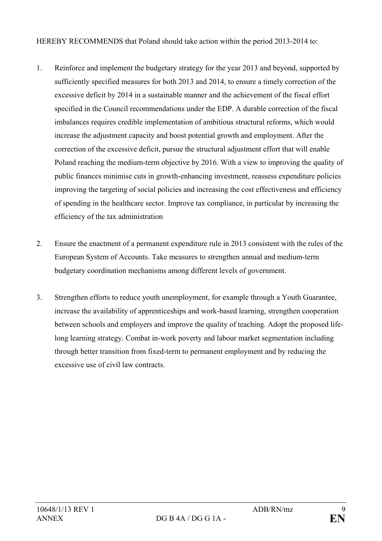HEREBY RECOMMENDS that Poland should take action within the period 2013-2014 to:

- 1. Reinforce and implement the budgetary strategy for the year 2013 and beyond, supported by sufficiently specified measures for both 2013 and 2014, to ensure a timely correction of the excessive deficit by 2014 in a sustainable manner and the achievement of the fiscal effort specified in the Council recommendations under the EDP. A durable correction of the fiscal imbalances requires credible implementation of ambitious structural reforms, which would increase the adjustment capacity and boost potential growth and employment. After the correction of the excessive deficit, pursue the structural adjustment effort that will enable Poland reaching the medium-term objective by 2016. With a view to improving the quality of public finances minimise cuts in growth-enhancing investment, reassess expenditure policies improving the targeting of social policies and increasing the cost effectiveness and efficiency of spending in the healthcare sector. Improve tax compliance, in particular by increasing the efficiency of the tax administration
- 2. Ensure the enactment of a permanent expenditure rule in 2013 consistent with the rules of the European System of Accounts. Take measures to strengthen annual and medium-term budgetary coordination mechanisms among different levels of government.
- 3. Strengthen efforts to reduce youth unemployment, for example through a Youth Guarantee, increase the availability of apprenticeships and work-based learning, strengthen cooperation between schools and employers and improve the quality of teaching. Adopt the proposed lifelong learning strategy. Combat in-work poverty and labour market segmentation including through better transition from fixed-term to permanent employment and by reducing the excessive use of civil law contracts.